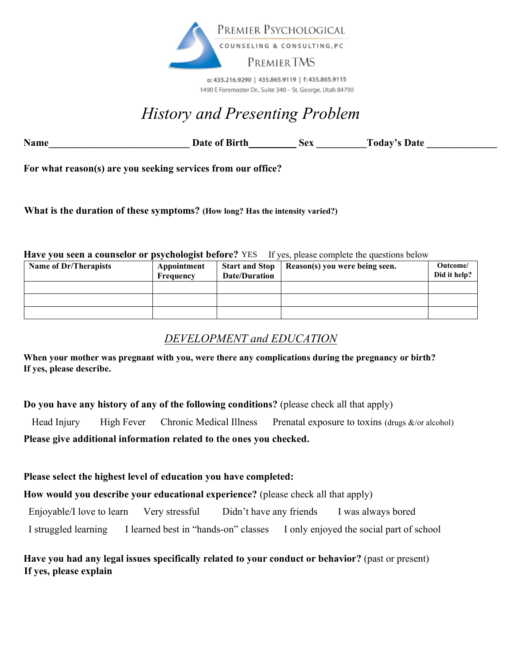

o: 435.216.9290 | 435.865.9119 | f: 435.865.9115 1490 E Foremaster Dr., Suite 340 - St. George, Utah 84790

# *History and Presenting Problem*

Name **Date of Birth** Sex Today's Date  $\frac{1}{2}$ 

**For what reason(s) are you seeking services from our office?** 

**What is the duration of these symptoms? (How long? Has the intensity varied?)** YES

#### **Have you seen a counselor or psychologist before?** YES If yes, please complete the questions below

| <b>Name of Dr/Therapists</b> | Appointment<br>Frequency | <b>Start and Stop</b><br>Date/Duration | Reason(s) you were being seen. | Outcome/<br>Did it help? |
|------------------------------|--------------------------|----------------------------------------|--------------------------------|--------------------------|
|                              |                          |                                        |                                |                          |
|                              |                          |                                        |                                |                          |
|                              |                          |                                        |                                |                          |

### *DEVELOPMENT and EDUCATION*

**When your mother was pregnant with you, were there any complications during the pregnancy or birth? If yes, please describe.** 

**Do you have any history of any of the following conditions?** (please check all that apply)

Head Injury High Fever Chronic Medical Illness Prenatal exposure to toxins (drugs &/or alcohol)

**Please give additional information related to the ones you checked.**

### **Please select the highest level of education you have completed:**

**How would you describe your educational experience?** (please check all that apply)

Enjoyable/I love to learn Very stressful Didn't have any friends I was always bored

I struggled learning I learned best in "hands-on" classes I only enjoyed the social part of school

### **Have you had any legal issues specifically related to your conduct or behavior?** (past or present) **If yes, please explain**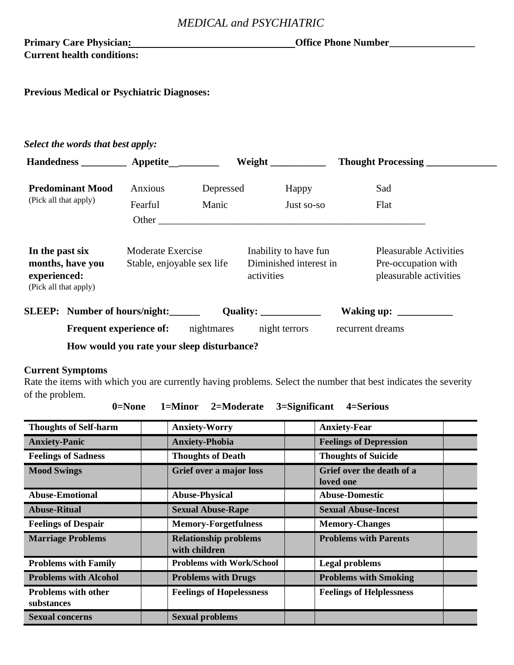### *MEDICAL and PSYCHIATRIC*

### Primary Care Physician: **Office Phone Number\_\_\_\_\_\_\_\_\_\_\_\_\_\_ Current health conditions:**

**Previous Medical or Psychiatric Diagnoses:**

### *Select the words that best apply:*

| Handedness <b>Appetite</b>                                                                                                      |                  |            | Weight                                                                                                                                                                                                                                                                                                                                                                                                                    | <b>Thought Processing</b>                                                      |
|---------------------------------------------------------------------------------------------------------------------------------|------------------|------------|---------------------------------------------------------------------------------------------------------------------------------------------------------------------------------------------------------------------------------------------------------------------------------------------------------------------------------------------------------------------------------------------------------------------------|--------------------------------------------------------------------------------|
| <b>Predominant Mood</b>                                                                                                         | Anxious          | Depressed  | Happy                                                                                                                                                                                                                                                                                                                                                                                                                     | Sad                                                                            |
| (Pick all that apply)                                                                                                           | Fearful<br>Other | Manic      | Just so-so                                                                                                                                                                                                                                                                                                                                                                                                                | Flat                                                                           |
| In the past six<br>Moderate Exercise<br>months, have you<br>Stable, enjoyable sex life<br>experienced:<br>(Pick all that apply) |                  |            | Inability to have fun<br>Diminished interest in<br>activities                                                                                                                                                                                                                                                                                                                                                             | <b>Pleasurable Activities</b><br>Pre-occupation with<br>pleasurable activities |
| SLEEP: Number of hours/night:                                                                                                   |                  |            | Quality: $\frac{1}{\sqrt{1-\frac{1}{\sqrt{1-\frac{1}{\sqrt{1-\frac{1}{\sqrt{1-\frac{1}{\sqrt{1-\frac{1}{\sqrt{1-\frac{1}{\sqrt{1-\frac{1}{\sqrt{1-\frac{1}{\sqrt{1-\frac{1}{\sqrt{1-\frac{1}{\sqrt{1-\frac{1}{\sqrt{1-\frac{1}{\sqrt{1-\frac{1}{\sqrt{1-\frac{1}{\sqrt{1-\frac{1}{\sqrt{1-\frac{1}{\sqrt{1-\frac{1}{\sqrt{1-\frac{1}{\sqrt{1-\frac{1}{\sqrt{1-\frac{1}{\sqrt{1-\frac{1}{\sqrt{1-\frac{1}{\sqrt{1-\frac{1$ | Waking up: $\frac{\ }{\ }$                                                     |
| Frequent experience of:                                                                                                         |                  | nightmares | night terrors                                                                                                                                                                                                                                                                                                                                                                                                             | recurrent dreams                                                               |
|                                                                                                                                 | TT 11 1 1 11 11  |            |                                                                                                                                                                                                                                                                                                                                                                                                                           |                                                                                |

 **How would you rate your sleep disturbance?** 

### **Current Symptoms**

Rate the items with which you are currently having problems. Select the number that best indicates the severity of the problem.

| $0 = None$ | 1=Minor | 2=Moderate | 3=Significant | 4=Serious |
|------------|---------|------------|---------------|-----------|
|------------|---------|------------|---------------|-----------|

| <b>Thoughts of Self-harm</b>             | <b>Anxiety-Worry</b>                          | <b>Anxiety-Fear</b>                    |
|------------------------------------------|-----------------------------------------------|----------------------------------------|
| <b>Anxiety-Panic</b>                     | <b>Anxiety-Phobia</b>                         | <b>Feelings of Depression</b>          |
| <b>Feelings of Sadness</b>               | <b>Thoughts of Death</b>                      | <b>Thoughts of Suicide</b>             |
| <b>Mood Swings</b>                       | Grief over a major loss                       | Grief over the death of a<br>loved one |
| <b>Abuse-Emotional</b>                   | <b>Abuse-Physical</b>                         | <b>Abuse-Domestic</b>                  |
| <b>Abuse-Ritual</b>                      | <b>Sexual Abuse-Rape</b>                      | <b>Sexual Abuse-Incest</b>             |
| <b>Feelings of Despair</b>               | <b>Memory-Forgetfulness</b>                   | <b>Memory-Changes</b>                  |
| <b>Marriage Problems</b>                 | <b>Relationship problems</b><br>with children | <b>Problems with Parents</b>           |
| <b>Problems with Family</b>              | <b>Problems with Work/School</b>              | <b>Legal problems</b>                  |
| <b>Problems with Alcohol</b>             | <b>Problems with Drugs</b>                    | <b>Problems with Smoking</b>           |
| <b>Problems with other</b><br>substances | <b>Feelings of Hopelessness</b>               | <b>Feelings of Helplessness</b>        |
| <b>Sexual concerns</b>                   | <b>Sexual problems</b>                        |                                        |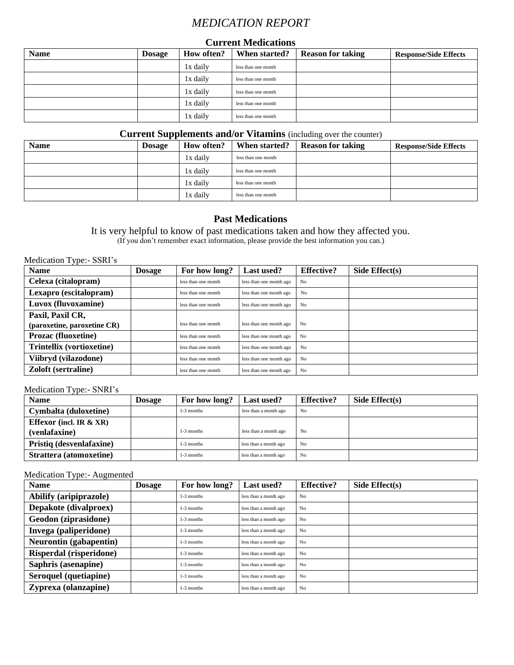### *MEDICATION REPORT*

#### **Current Medications**

| <b>Name</b> | <b>Dosage</b> | <b>How often?</b> | When started?       | <b>Reason for taking</b> | <b>Response/Side Effects</b> |
|-------------|---------------|-------------------|---------------------|--------------------------|------------------------------|
|             |               | 1x daily          | less than one month |                          |                              |
|             |               | 1x daily          | less than one month |                          |                              |
|             |               | 1x daily          | less than one month |                          |                              |
|             |               | 1x daily          | less than one month |                          |                              |
|             |               | 1x daily          | less than one month |                          |                              |

#### **Current Supplements and/or Vitamins** (including over the counter)

| <b>Name</b> | <b>Dosage</b> | How often? | When started?       | <b>Reason for taking</b> | <b>Response/Side Effects</b> |
|-------------|---------------|------------|---------------------|--------------------------|------------------------------|
|             |               | 1x dailv   | less than one month |                          |                              |
|             |               | lx dailv   | less than one month |                          |                              |
|             |               | l x daily  | less than one month |                          |                              |
|             |               | 1x dailv   | less than one month |                          |                              |

### **Past Medications**

It is very helpful to know of past medications taken and how they affected you. (If you don't remember exact information, please provide the best information you can.)

Medication Type:- SSRI's

| <b>Name</b>                      | <b>Dosage</b> | For how long?       | <b>Last used?</b>       | <b>Effective?</b> | Side $Effect(s)$ |
|----------------------------------|---------------|---------------------|-------------------------|-------------------|------------------|
| Celexa (citalopram)              |               | less than one month | less than one month ago | N <sub>0</sub>    |                  |
| Lexapro (escitalopram)           |               | less than one month | less than one month ago | N <sub>0</sub>    |                  |
| Luvox (fluvoxamine)              |               | less than one month | less than one month ago | N <sub>0</sub>    |                  |
| Paxil, Paxil CR,                 |               |                     |                         |                   |                  |
| (paroxetine, paroxetine CR)      |               | less than one month | less than one month ago | N <sub>0</sub>    |                  |
| <b>Prozac (fluoxetine)</b>       |               | less than one month | less than one month ago | No                |                  |
| <b>Trintellix (vortioxetine)</b> |               | less than one month | less than one month ago | N <sub>0</sub>    |                  |
| Viibryd (vilazodone)             |               | less than one month | less than one month ago | No                |                  |
| <b>Zoloft</b> (sertraline)       |               | less than one month | less than one month ago | No                |                  |

Medication Type:- SNRI's

| <b>Name</b>               | <b>Dosage</b> | For how long? | <b>Last used?</b>     | <b>Effective?</b> | Side $Effect(s)$ |
|---------------------------|---------------|---------------|-----------------------|-------------------|------------------|
| Cymbalta (duloxetine)     |               | $1-3$ months  | less than a month ago | No                |                  |
| Effexor (incl. IR $&XR$ ) |               |               |                       |                   |                  |
| (venlafaxine)             |               | $1-3$ months  | less than a month ago | No                |                  |
| Pristiq (desvenlafaxine)  |               | $1-3$ months  | less than a month ago | No                |                  |
| Strattera (atomoxetine)   |               | $1-3$ months  | less than a month ago | No                |                  |

### Medication Type:- Augmented

| <b>Name</b>                   | <b>Dosage</b> | For how long? | Last used?            | <b>Effective?</b> | Side $Effect(s)$ |
|-------------------------------|---------------|---------------|-----------------------|-------------------|------------------|
| <b>Abilify (aripiprazole)</b> |               | 1-3 months    | less than a month ago | N <sub>o</sub>    |                  |
| Depakote (divalproex)         |               | $1-3$ months  | less than a month ago | N <sub>0</sub>    |                  |
| Geodon (ziprasidone)          |               | $1-3$ months  | less than a month ago | N <sub>0</sub>    |                  |
| Invega (paliperidone)         |               | $1-3$ months  | less than a month ago | N <sub>o</sub>    |                  |
| Neurontin (gabapentin)        |               | $1-3$ months  | less than a month ago | No                |                  |
| Risperdal (risperidone)       |               | 1-3 months    | less than a month ago | N <sub>o</sub>    |                  |
| Saphris (asenapine)           |               | $1-3$ months  | less than a month ago | No                |                  |
| Seroquel (quetiapine)         |               | $1-3$ months  | less than a month ago | No                |                  |
| Zyprexa (olanzapine)          |               | $1-3$ months  | less than a month ago | N <sub>o</sub>    |                  |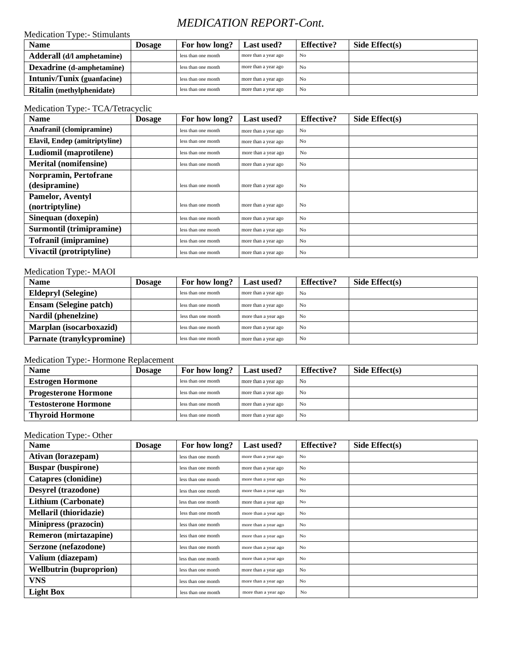### *MEDICATION REPORT-Cont.*

#### Medication Type:- Stimulants

| <b>Name</b>                       | Dosage | For how long?       | <b>Last used?</b>    | <b>Effective?</b> | Side $Effect(s)$ |
|-----------------------------------|--------|---------------------|----------------------|-------------------|------------------|
| Adderall (d/l amphetamine)        |        | less than one month | more than a year ago | No                |                  |
| <b>Dexadrine</b> (d-amphetamine)  |        | less than one month | more than a year ago | No                |                  |
| <b>Intuniv/Tunix (guanfacine)</b> |        | less than one month | more than a year ago | No                |                  |
| <b>Ritalin</b> (methylphenidate)  |        | less than one month | more than a year ago | N <sub>0</sub>    |                  |

#### Medication Type:- TCA/Tetracyclic

| <b>Name</b>                   | <b>Dosage</b> | For how long?       | Last used?           | <b>Effective?</b> | Side $Effect(s)$ |
|-------------------------------|---------------|---------------------|----------------------|-------------------|------------------|
| Anafranil (clomipramine)      |               | less than one month | more than a year ago | N <sub>0</sub>    |                  |
| Elavil, Endep (amitriptyline) |               | less than one month | more than a year ago | No                |                  |
| Ludiomil (maprotilene)        |               | less than one month | more than a year ago | No                |                  |
| <b>Merital (nomifensine)</b>  |               | less than one month | more than a year ago | N <sub>o</sub>    |                  |
| Norpramin, Pertofrane         |               |                     |                      |                   |                  |
| (desipramine)                 |               | less than one month | more than a year ago | No                |                  |
| Pamelor, Aventyl              |               |                     |                      |                   |                  |
| (nortriptyline)               |               | less than one month | more than a year ago | N <sub>o</sub>    |                  |
| Sinequan (doxepin)            |               | less than one month | more than a year ago | N <sub>0</sub>    |                  |
| Surmontil (trimipramine)      |               | less than one month | more than a year ago | N <sub>o</sub>    |                  |
| <b>Tofranil (imipramine)</b>  |               | less than one month | more than a year ago | N <sub>o</sub>    |                  |
| Vivactil (protriptyline)      |               | less than one month | more than a year ago | N <sub>o</sub>    |                  |

#### Medication Type:- MAOI

| $1.10$ and $1.10$ in $1.11$ and $1.10$ in $1.10$ in $1.10$ in $1.10$ in $1.10$ in $1.10$ in $1.10$ in $1.10$ in $1.10$ in $1.10$ in $1.10$ in $1.10$ in $1.10$ in $1.10$ in $1.10$ in $1.10$ in $1.10$ in $1.10$ in $1.10$ in<br><b>Name</b> | Dosage | For how long?       | Last used?           | <b>Effective?</b> | Side Effect $(s)$ |
|----------------------------------------------------------------------------------------------------------------------------------------------------------------------------------------------------------------------------------------------|--------|---------------------|----------------------|-------------------|-------------------|
| <b>Eldepryl (Selegine)</b>                                                                                                                                                                                                                   |        | less than one month | more than a year ago | N <sub>0</sub>    |                   |
| <b>Ensam (Selegine patch)</b>                                                                                                                                                                                                                |        | less than one month | more than a year ago | No                |                   |
| Nardil (phenelzine)                                                                                                                                                                                                                          |        | less than one month | more than a year ago | No                |                   |
| Marplan (isocarboxazid)                                                                                                                                                                                                                      |        | less than one month | more than a year ago | No                |                   |
| Parnate (tranylcypromine)                                                                                                                                                                                                                    |        | less than one month | more than a year ago | No                |                   |

#### Medication Type:- Hormone Replacement

| <b>Name</b>                 | Dosage | For how long?       | <b>Last used?</b>    | <b>Effective?</b> | Side $Effect(s)$ |
|-----------------------------|--------|---------------------|----------------------|-------------------|------------------|
| <b>Estrogen Hormone</b>     |        | less than one month | more than a year ago | N <sub>0</sub>    |                  |
| <b>Progesterone Hormone</b> |        | less than one month | more than a year ago | N <sub>0</sub>    |                  |
| <b>Testosterone Hormone</b> |        | less than one month | more than a year ago | No                |                  |
| <b>Thyroid Hormone</b>      |        | less than one month | more than a year ago | No                |                  |

#### Medication Type:- Other

| <b>Name</b>                    | <b>Dosage</b> | For how long?       | Last used?           | <b>Effective?</b> | Side $Effect(s)$ |
|--------------------------------|---------------|---------------------|----------------------|-------------------|------------------|
| Ativan (lorazepam)             |               | less than one month | more than a year ago | N <sub>o</sub>    |                  |
| <b>Buspar (buspirone)</b>      |               | less than one month | more than a year ago | N <sub>o</sub>    |                  |
| Catapres (clonidine)           |               | less than one month | more than a year ago | N <sub>o</sub>    |                  |
| Desyrel (trazodone)            |               | less than one month | more than a year ago | N <sub>o</sub>    |                  |
| Lithium (Carbonate)            |               | less than one month | more than a year ago | No                |                  |
| Mellaril (thioridazie)         |               | less than one month | more than a year ago | N <sub>o</sub>    |                  |
| <b>Minipress (prazocin)</b>    |               | less than one month | more than a year ago | N <sub>o</sub>    |                  |
| <b>Remeron</b> (mirtazapine)   |               | less than one month | more than a year ago | N <sub>o</sub>    |                  |
| Serzone (nefazodone)           |               | less than one month | more than a year ago | N <sub>o</sub>    |                  |
| Valium (diazepam)              |               | less than one month | more than a year ago | No                |                  |
| <b>Wellbutrin (buproprion)</b> |               | less than one month | more than a year ago | N <sub>o</sub>    |                  |
| <b>VNS</b>                     |               | less than one month | more than a year ago | N <sub>o</sub>    |                  |
| <b>Light Box</b>               |               | less than one month | more than a year ago | No                |                  |